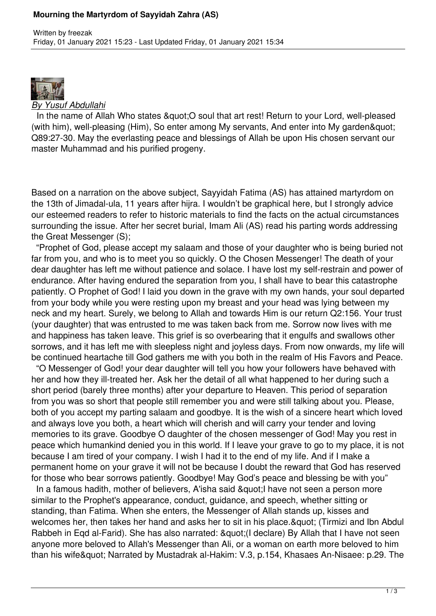## **Mourning the Martyrdom of Sayyidah Zahra (AS)**



## *By Yusuf Abdullahi*

In the name of Allah Who states & quot; O soul that art rest! Return to your Lord, well-pleased (with him), well-pleasing (Him), So enter among My servants, And enter into My garden & quot; Q89:27-30. May the everlasting peace and blessings of Allah be upon His chosen servant our master Muhammad and his purified progeny.

Based on a narration on the above subject, Sayyidah Fatima (AS) has attained martyrdom on the 13th of Jimadal-ula, 11 years after hijra. I wouldn't be graphical here, but I strongly advice our esteemed readers to refer to historic materials to find the facts on the actual circumstances surrounding the issue. After her secret burial, Imam Ali (AS) read his parting words addressing the Great Messenger (S);

 "Prophet of God, please accept my salaam and those of your daughter who is being buried not far from you, and who is to meet you so quickly. O the Chosen Messenger! The death of your dear daughter has left me without patience and solace. I have lost my self-restrain and power of endurance. After having endured the separation from you, I shall have to bear this catastrophe patiently. O Prophet of God! I laid you down in the grave with my own hands, your soul departed from your body while you were resting upon my breast and your head was lying between my neck and my heart. Surely, we belong to Allah and towards Him is our return Q2:156. Your trust (your daughter) that was entrusted to me was taken back from me. Sorrow now lives with me and happiness has taken leave. This grief is so overbearing that it engulfs and swallows other sorrows, and it has left me with sleepless night and joyless days. From now onwards, my life will be continued heartache till God gathers me with you both in the realm of His Favors and Peace.

 "O Messenger of God! your dear daughter will tell you how your followers have behaved with her and how they ill-treated her. Ask her the detail of all what happened to her during such a short period (barely three months) after your departure to Heaven. This period of separation from you was so short that people still remember you and were still talking about you. Please, both of you accept my parting salaam and goodbye. It is the wish of a sincere heart which loved and always love you both, a heart which will cherish and will carry your tender and loving memories to its grave. Goodbye O daughter of the chosen messenger of God! May you rest in peace which humankind denied you in this world. If I leave your grave to go to my place, it is not because I am tired of your company. I wish I had it to the end of my life. And if I make a permanent home on your grave it will not be because I doubt the reward that God has reserved for those who bear sorrows patiently. Goodbye! May God's peace and blessing be with you"

In a famous hadith, mother of believers, A'isha said " I have not seen a person more similar to the Prophet's appearance, conduct, guidance, and speech, whether sitting or standing, than Fatima. When she enters, the Messenger of Allah stands up, kisses and welcomes her, then takes her hand and asks her to sit in his place. & quot; (Tirmizi and Ibn Abdul Rabbeh in Eqd al-Farid). She has also narrated: & auot: (I declare) By Allah that I have not seen anyone more beloved to Allah's Messenger than Ali, or a woman on earth more beloved to him than his wife" Narrated by Mustadrak al-Hakim: V.3, p.154, Khasaes An-Nisaee: p.29. The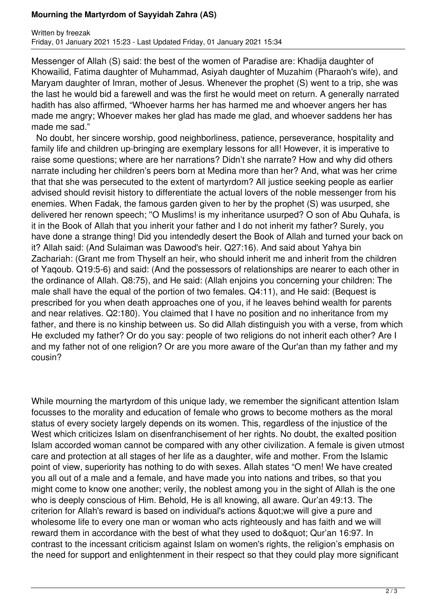## **Mourning the Martyrdom of Sayyidah Zahra (AS)**

Messenger of Allah (S) said: the best of the women of Paradise are: Khadija daughter of Khowailid, Fatima daughter of Muhammad, Asiyah daughter of Muzahim (Pharaoh's wife), and Maryam daughter of Imran, mother of Jesus. Whenever the prophet (S) went to a trip, she was the last he would bid a farewell and was the first he would meet on return. A generally narrated hadith has also affirmed, "Whoever harms her has harmed me and whoever angers her has made me angry; Whoever makes her glad has made me glad, and whoever saddens her has made me sad."

 No doubt, her sincere worship, good neighborliness, patience, perseverance, hospitality and family life and children up-bringing are exemplary lessons for all! However, it is imperative to raise some questions; where are her narrations? Didn't she narrate? How and why did others narrate including her children's peers born at Medina more than her? And, what was her crime that that she was persecuted to the extent of martyrdom? All justice seeking people as earlier advised should revisit history to differentiate the actual lovers of the noble messenger from his enemies. When Fadak, the famous garden given to her by the prophet (S) was usurped, she delivered her renown speech; ''O Muslims! is my inheritance usurped? O son of Abu Quhafa, is it in the Book of Allah that you inherit your father and I do not inherit my father? Surely, you have done a strange thing! Did you intendedly desert the Book of Allah and turned your back on it? Allah said: (And Sulaiman was Dawood's heir. Q27:16). And said about Yahya bin Zachariah: (Grant me from Thyself an heir, who should inherit me and inherit from the children of Yaqoub. Q19:5-6) and said: (And the possessors of relationships are nearer to each other in the ordinance of Allah. Q8:75), and He said: (Allah enjoins you concerning your children: The male shall have the equal of the portion of two females. Q4:11), and He said: (Bequest is prescribed for you when death approaches one of you, if he leaves behind wealth for parents and near relatives. Q2:180). You claimed that I have no position and no inheritance from my father, and there is no kinship between us. So did Allah distinguish you with a verse, from which He excluded my father? Or do you say: people of two religions do not inherit each other? Are I and my father not of one religion? Or are you more aware of the Qur'an than my father and my cousin?

While mourning the martyrdom of this unique lady, we remember the significant attention Islam focusses to the morality and education of female who grows to become mothers as the moral status of every society largely depends on its women. This, regardless of the injustice of the West which criticizes Islam on disenfranchisement of her rights. No doubt, the exalted position Islam accorded woman cannot be compared with any other civilization. A female is given utmost care and protection at all stages of her life as a daughter, wife and mother. From the Islamic point of view, superiority has nothing to do with sexes. Allah states "O men! We have created you all out of a male and a female, and have made you into nations and tribes, so that you might come to know one another; verily, the noblest among you in the sight of Allah is the one who is deeply conscious of Him. Behold, He is all knowing, all aware. Qur'an 49:13. The criterion for Allah's reward is based on individual's actions & quot: we will give a pure and wholesome life to every one man or woman who acts righteously and has faith and we will reward them in accordance with the best of what they used to do & quot: Qur'an 16:97. In contrast to the incessant criticism against Islam on women's rights, the religion's emphasis on the need for support and enlightenment in their respect so that they could play more significant